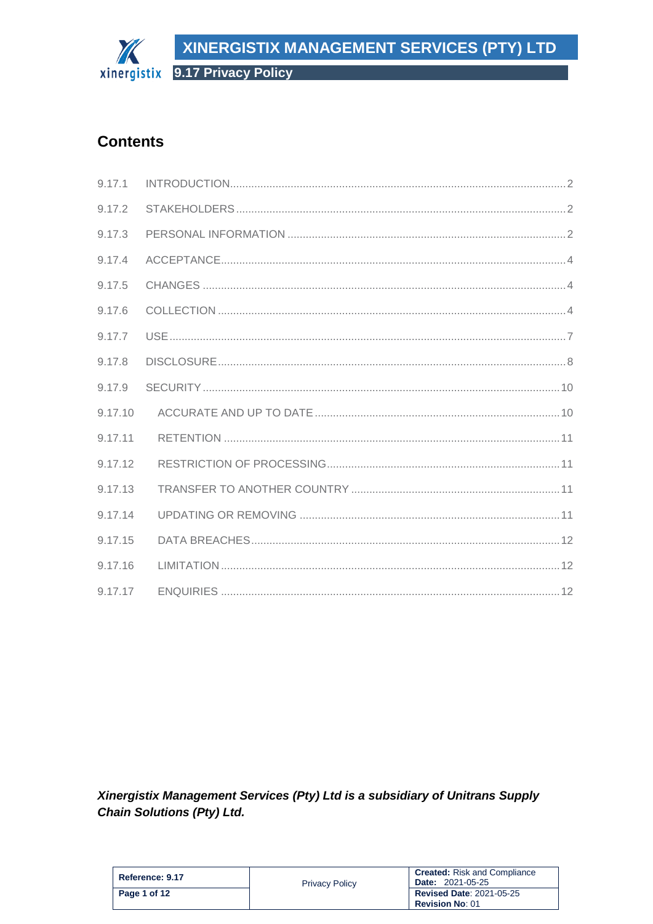# XINERGISTIX MANAGEMENT SERVICES (PTY) LTD The

xinergistix 9.17 Privacy Policy

# **Contents**

| 9.17.1  |  |
|---------|--|
| 9.17.2  |  |
| 9.17.3  |  |
| 9.17.4  |  |
| 9.17.5  |  |
| 9.17.6  |  |
| 9.17.7  |  |
| 9.17.8  |  |
| 9.17.9  |  |
| 9.17.10 |  |
| 9.17.11 |  |
| 9.17.12 |  |
| 9.17.13 |  |
| 9.17.14 |  |
| 9.17.15 |  |
| 9.17.16 |  |
| 9.17.17 |  |

Xinergistix Management Services (Pty) Ltd is a subsidiary of Unitrans Supply **Chain Solutions (Pty) Ltd.** 

| Reference: 9.17 | <b>Privacy Policy</b> | <b>Created:</b> Risk and Compliance<br><b>Date: 2021-05-25</b> |
|-----------------|-----------------------|----------------------------------------------------------------|
| Page 1 of 12    |                       | <b>Revised Date: 2021-05-25</b><br><b>Revision No: 01</b>      |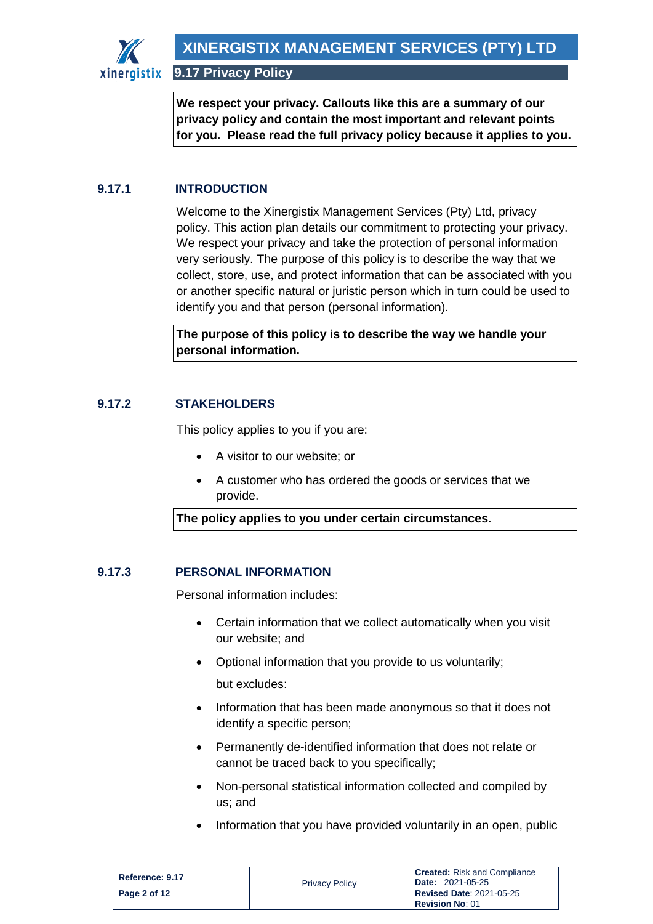

**We respect your privacy. Callouts like this are a summary of our privacy policy and contain the most important and relevant points for you. Please read the full privacy policy because it applies to you.**

# <span id="page-1-0"></span>**9.17.1 INTRODUCTION**

Welcome to the Xinergistix Management Services (Pty) Ltd, privacy policy. This action plan details our commitment to protecting your privacy. We respect your privacy and take the protection of personal information very seriously. The purpose of this policy is to describe the way that we collect, store, use, and protect information that can be associated with you or another specific natural or juristic person which in turn could be used to identify you and that person (personal information).

**The purpose of this policy is to describe the way we handle your personal information.**

## <span id="page-1-1"></span>**9.17.2 STAKEHOLDERS**

This policy applies to you if you are:

- A visitor to our website; or
- A customer who has ordered the goods or services that we provide.

**The policy applies to you under certain circumstances.**

#### <span id="page-1-2"></span>**9.17.3 PERSONAL INFORMATION**

Personal information includes:

- Certain information that we collect automatically when you visit our website; and
- Optional information that you provide to us voluntarily; but excludes:
- Information that has been made anonymous so that it does not identify a specific person;
- Permanently de-identified information that does not relate or cannot be traced back to you specifically;
- Non-personal statistical information collected and compiled by us; and
- Information that you have provided voluntarily in an open, public

| Reference: 9.17 | <b>Privacy Policy</b> | <b>Created:</b> Risk and Compliance<br><b>Date: 2021-05-25</b> |
|-----------------|-----------------------|----------------------------------------------------------------|
| Page 2 of 12    |                       | <b>Revised Date: 2021-05-25</b><br><b>Revision No: 01</b>      |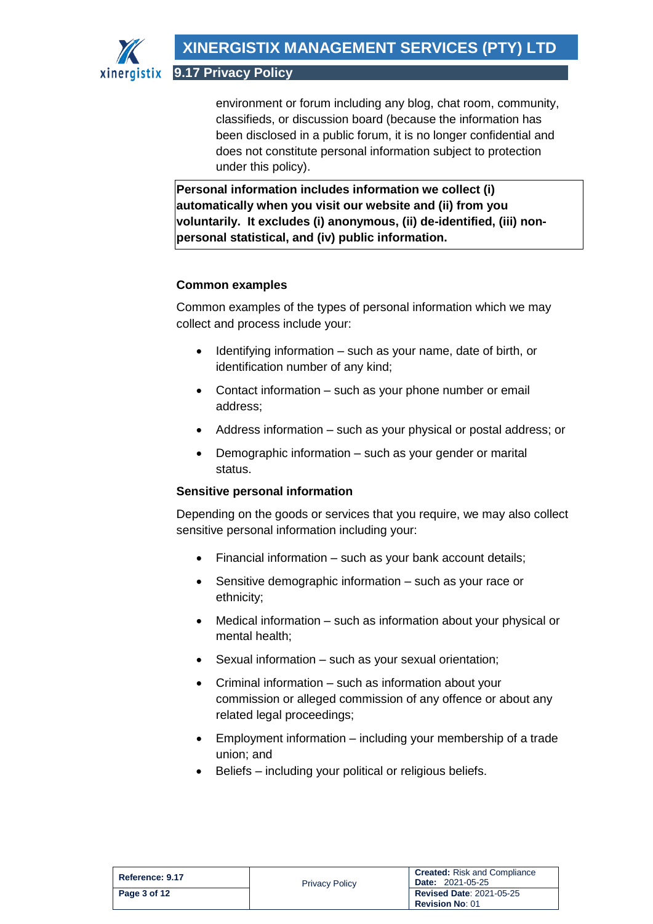environment or forum including any blog, chat room, community, classifieds, or discussion board (because the information has been disclosed in a public forum, it is no longer confidential and does not constitute personal information subject to protection under this policy).

**Personal information includes information we collect (i) automatically when you visit our website and (ii) from you voluntarily. It excludes (i) anonymous, (ii) de-identified, (iii) nonpersonal statistical, and (iv) public information.**

## **Common examples**

Common examples of the types of personal information which we may collect and process include your:

- Identifying information such as your name, date of birth, or identification number of any kind;
- Contact information such as your phone number or email address;
- Address information such as your physical or postal address; or
- Demographic information such as your gender or marital status.

## **Sensitive personal information**

Depending on the goods or services that you require, we may also collect sensitive personal information including your:

- Financial information such as your bank account details;
- Sensitive demographic information such as your race or ethnicity;
- Medical information such as information about your physical or mental health;
- Sexual information such as your sexual orientation;
- Criminal information such as information about your commission or alleged commission of any offence or about any related legal proceedings;
- Employment information including your membership of a trade union; and
- Beliefs including your political or religious beliefs.

| Reference: 9.17 | <b>Privacy Policy</b> | <b>Created:</b> Risk and Compliance<br><b>Date: 2021-05-25</b> |
|-----------------|-----------------------|----------------------------------------------------------------|
| Page 3 of 12    |                       | <b>Revised Date: 2021-05-25</b><br><b>Revision No: 01</b>      |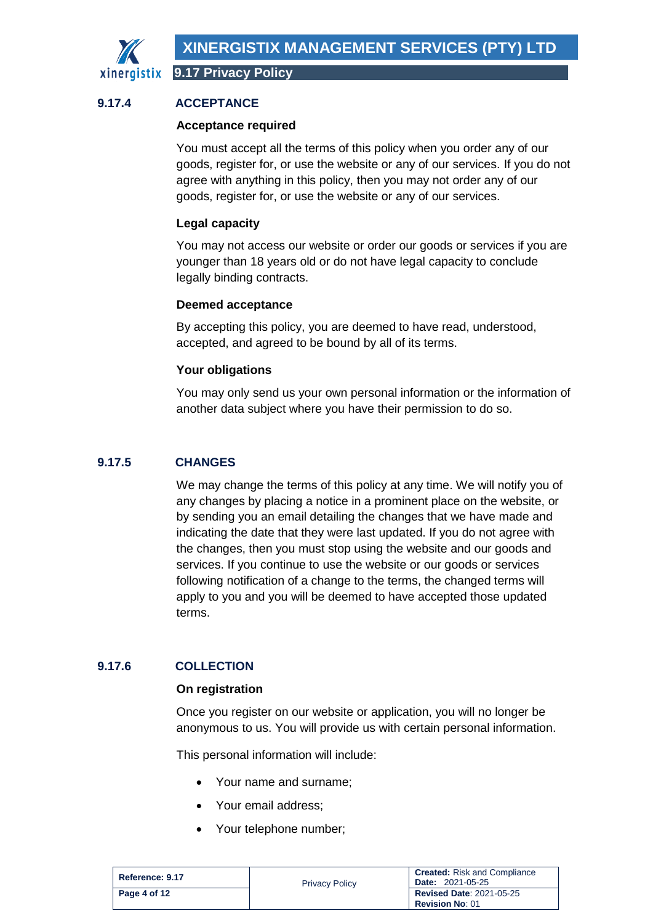

## <span id="page-3-0"></span>**9.17.4 ACCEPTANCE**

#### **Acceptance required**

You must accept all the terms of this policy when you order any of our goods, register for, or use the website or any of our services. If you do not agree with anything in this policy, then you may not order any of our goods, register for, or use the website or any of our services.

#### **Legal capacity**

You may not access our website or order our goods or services if you are younger than 18 years old or do not have legal capacity to conclude legally binding contracts.

#### **Deemed acceptance**

By accepting this policy, you are deemed to have read, understood, accepted, and agreed to be bound by all of its terms.

#### **Your obligations**

You may only send us your own personal information or the information of another data subject where you have their permission to do so.

## <span id="page-3-1"></span>**9.17.5 CHANGES**

We may change the terms of this policy at any time. We will notify you of any changes by placing a notice in a prominent place on the website, or by sending you an email detailing the changes that we have made and indicating the date that they were last updated. If you do not agree with the changes, then you must stop using the website and our goods and services. If you continue to use the website or our goods or services following notification of a change to the terms, the changed terms will apply to you and you will be deemed to have accepted those updated terms.

#### <span id="page-3-2"></span>**9.17.6 COLLECTION**

#### **On registration**

Once you register on our website or application, you will no longer be anonymous to us. You will provide us with certain personal information.

This personal information will include:

- Your name and surname;
- Your email address:
- Your telephone number;

| Reference: 9.17 | <b>Privacy Policy</b> | <b>Created:</b> Risk and Compliance<br><b>Date: 2021-05-25</b> |
|-----------------|-----------------------|----------------------------------------------------------------|
| Page 4 of 12    |                       | <b>Revised Date: 2021-05-25</b><br><b>Revision No: 01</b>      |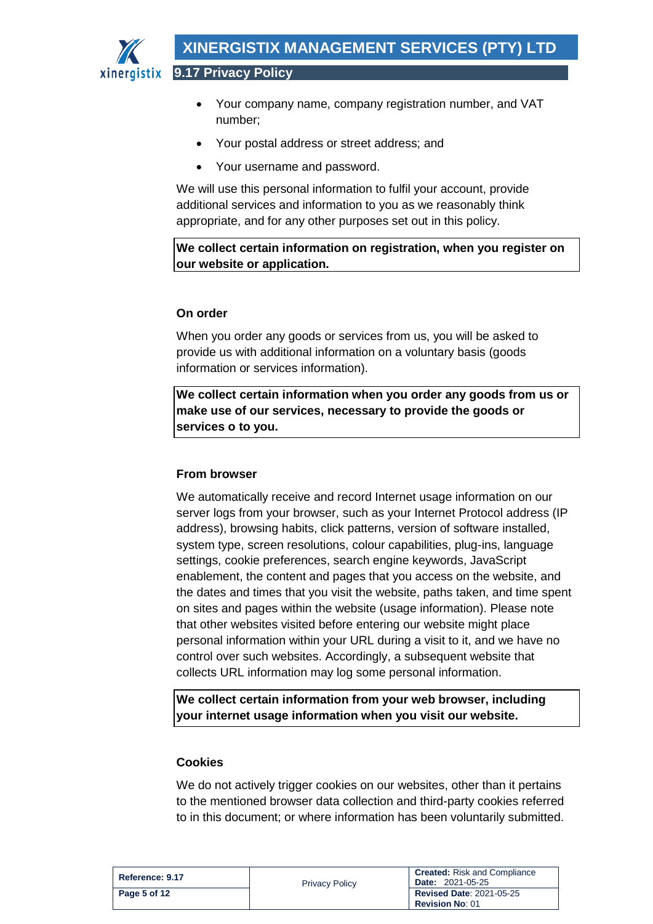

• Your company name, company registration number, and VAT number;

- Your postal address or street address; and
- Your username and password.

We will use this personal information to fulfil your account, provide additional services and information to you as we reasonably think appropriate, and for any other purposes set out in this policy.

**We collect certain information on registration, when you register on our website or application.**

## **On order**

When you order any goods or services from us, you will be asked to provide us with additional information on a voluntary basis (goods information or services information).

**We collect certain information when you order any goods from us or make use of our services, necessary to provide the goods or services o to you.**

## **From browser**

We automatically receive and record Internet usage information on our server logs from your browser, such as your Internet Protocol address (IP address), browsing habits, click patterns, version of software installed, system type, screen resolutions, colour capabilities, plug-ins, language settings, cookie preferences, search engine keywords, JavaScript enablement, the content and pages that you access on the website, and the dates and times that you visit the website, paths taken, and time spent on sites and pages within the website (usage information). Please note that other websites visited before entering our website might place personal information within your URL during a visit to it, and we have no control over such websites. Accordingly, a subsequent website that collects URL information may log some personal information.

**We collect certain information from your web browser, including your internet usage information when you visit our website.**

## **Cookies**

We do not actively trigger cookies on our websites, other than it pertains to the mentioned browser data collection and third-party cookies referred to in this document; or where information has been voluntarily submitted.

| Reference: 9.17 | <b>Privacy Policy</b> | <b>Created:</b> Risk and Compliance<br><b>Date: 2021-05-25</b> |
|-----------------|-----------------------|----------------------------------------------------------------|
| Page 5 of 12    |                       | <b>Revised Date: 2021-05-25</b><br><b>Revision No: 01</b>      |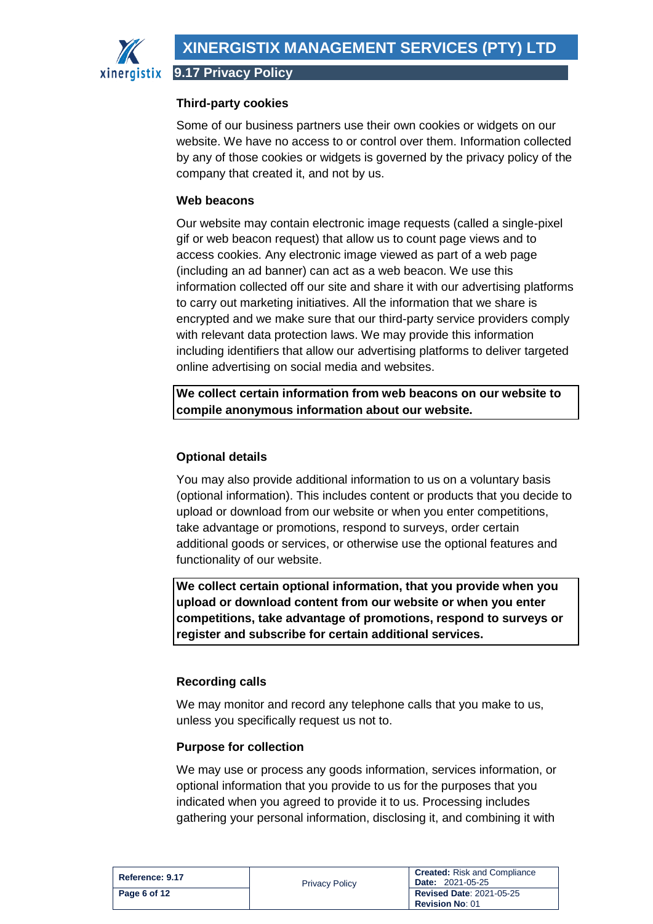

**9.17 Privacy Policy**

## **Third-party cookies**

Some of our business partners use their own cookies or widgets on our website. We have no access to or control over them. Information collected by any of those cookies or widgets is governed by the privacy policy of the company that created it, and not by us.

## **Web beacons**

Our website may contain electronic image requests (called a single-pixel gif or web beacon request) that allow us to count page views and to access cookies. Any electronic image viewed as part of a web page (including an ad banner) can act as a web beacon. We use this information collected off our site and share it with our advertising platforms to carry out marketing initiatives. All the information that we share is encrypted and we make sure that our third-party service providers comply with relevant data protection laws. We may provide this information including identifiers that allow our advertising platforms to deliver targeted online advertising on social media and websites.

**We collect certain information from web beacons on our website to compile anonymous information about our website.**

# **Optional details**

You may also provide additional information to us on a voluntary basis (optional information). This includes content or products that you decide to upload or download from our website or when you enter competitions, take advantage or promotions, respond to surveys, order certain additional goods or services, or otherwise use the optional features and functionality of our website.

**We collect certain optional information, that you provide when you upload or download content from our website or when you enter competitions, take advantage of promotions, respond to surveys or register and subscribe for certain additional services.**

## **Recording calls**

We may monitor and record any telephone calls that you make to us, unless you specifically request us not to.

## **Purpose for collection**

We may use or process any goods information, services information, or optional information that you provide to us for the purposes that you indicated when you agreed to provide it to us. Processing includes gathering your personal information, disclosing it, and combining it with

| Reference: 9.17 | <b>Privacy Policy</b> | <b>Created:</b> Risk and Compliance<br><b>Date: 2021-05-25</b> |
|-----------------|-----------------------|----------------------------------------------------------------|
| Page 6 of 12    |                       | <b>Revised Date: 2021-05-25</b><br><b>Revision No: 01</b>      |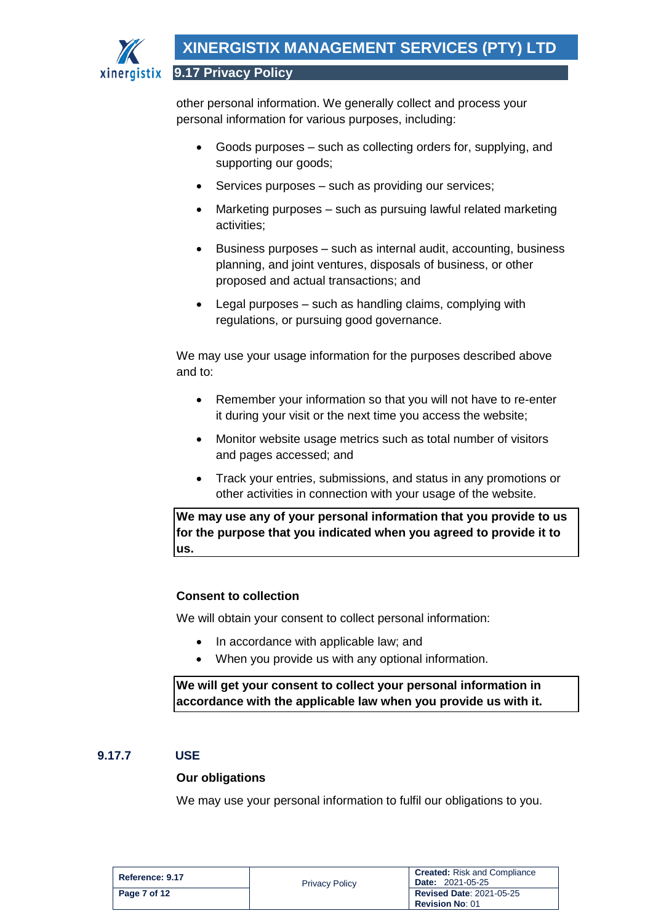

other personal information. We generally collect and process your personal information for various purposes, including:

- Goods purposes such as collecting orders for, supplying, and supporting our goods;
- Services purposes such as providing our services;
- Marketing purposes such as pursuing lawful related marketing activities;
- Business purposes such as internal audit, accounting, business planning, and joint ventures, disposals of business, or other proposed and actual transactions; and
- Legal purposes such as handling claims, complying with regulations, or pursuing good governance.

We may use your usage information for the purposes described above and to:

- Remember your information so that you will not have to re-enter it during your visit or the next time you access the website;
- Monitor website usage metrics such as total number of visitors and pages accessed; and
- Track your entries, submissions, and status in any promotions or other activities in connection with your usage of the website.

**We may use any of your personal information that you provide to us for the purpose that you indicated when you agreed to provide it to us.**

## **Consent to collection**

We will obtain your consent to collect personal information:

- In accordance with applicable law; and
- When you provide us with any optional information.

**We will get your consent to collect your personal information in accordance with the applicable law when you provide us with it.** 

#### <span id="page-6-0"></span>**9.17.7 USE**

#### **Our obligations**

We may use your personal information to fulfil our obligations to you.

| Reference: 9.17 | <b>Privacy Policy</b> | <b>Created:</b> Risk and Compliance<br><b>Date: 2021-05-25</b> |
|-----------------|-----------------------|----------------------------------------------------------------|
| Page 7 of 12    |                       | <b>Revised Date: 2021-05-25</b><br><b>Revision No: 01</b>      |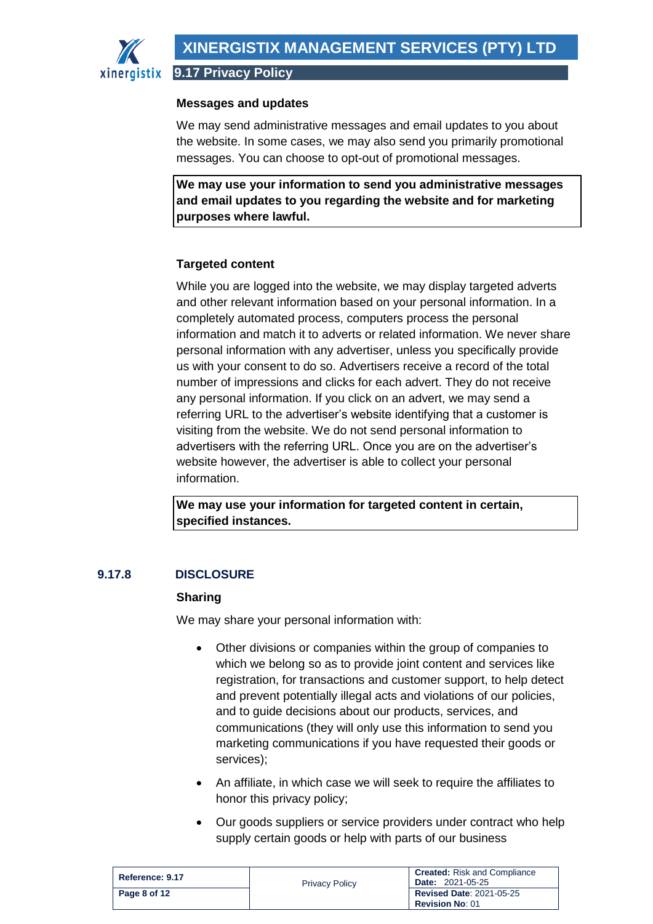

#### **Messages and updates**

We may send administrative messages and email updates to you about the website. In some cases, we may also send you primarily promotional messages. You can choose to opt-out of promotional messages.

**We may use your information to send you administrative messages and email updates to you regarding the website and for marketing purposes where lawful.**

#### **Targeted content**

While you are logged into the website, we may display targeted adverts and other relevant information based on your personal information. In a completely automated process, computers process the personal information and match it to adverts or related information. We never share personal information with any advertiser, unless you specifically provide us with your consent to do so. Advertisers receive a record of the total number of impressions and clicks for each advert. They do not receive any personal information. If you click on an advert, we may send a referring URL to the advertiser's website identifying that a customer is visiting from the website. We do not send personal information to advertisers with the referring URL. Once you are on the advertiser's website however, the advertiser is able to collect your personal information.

**We may use your information for targeted content in certain, specified instances.**

## <span id="page-7-0"></span>**9.17.8 DISCLOSURE**

#### **Sharing**

We may share your personal information with:

- Other divisions or companies within the group of companies to which we belong so as to provide joint content and services like registration, for transactions and customer support, to help detect and prevent potentially illegal acts and violations of our policies, and to guide decisions about our products, services, and communications (they will only use this information to send you marketing communications if you have requested their goods or services);
- An affiliate, in which case we will seek to require the affiliates to honor this privacy policy;
- Our goods suppliers or service providers under contract who help supply certain goods or help with parts of our business

| Reference: 9.17 | <b>Privacy Policy</b> | <b>Created:</b> Risk and Compliance<br><b>Date: 2021-05-25</b> |
|-----------------|-----------------------|----------------------------------------------------------------|
| Page 8 of 12    |                       | <b>Revised Date: 2021-05-25</b><br><b>Revision No: 01</b>      |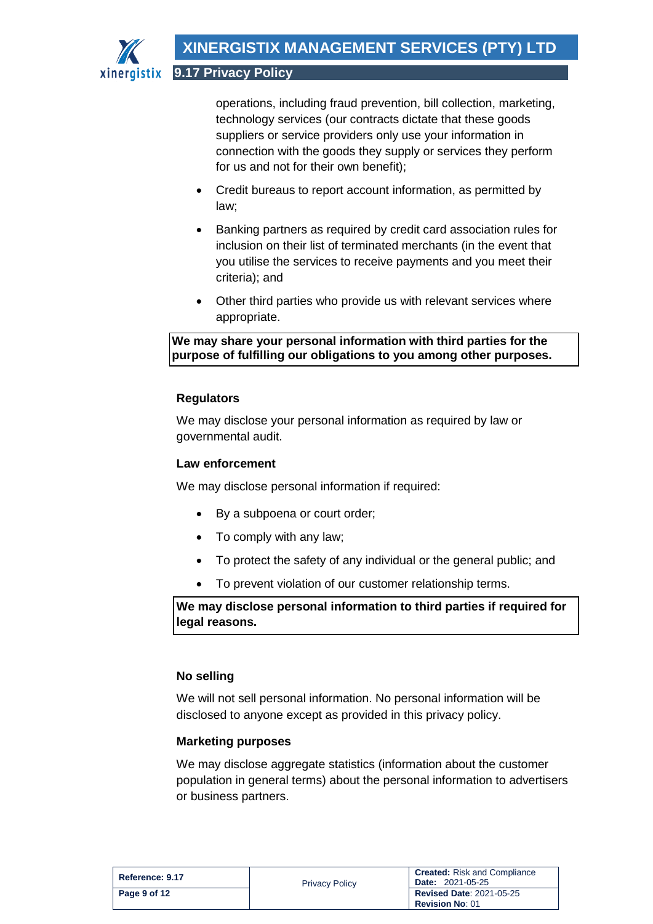

operations, including fraud prevention, bill collection, marketing, technology services (our contracts dictate that these goods suppliers or service providers only use your information in connection with the goods they supply or services they perform for us and not for their own benefit);

- Credit bureaus to report account information, as permitted by law;
- Banking partners as required by credit card association rules for inclusion on their list of terminated merchants (in the event that you utilise the services to receive payments and you meet their criteria); and
- Other third parties who provide us with relevant services where appropriate.

**We may share your personal information with third parties for the purpose of fulfilling our obligations to you among other purposes.**

## **Regulators**

We may disclose your personal information as required by law or governmental audit.

#### **Law enforcement**

We may disclose personal information if required:

- By a subpoena or court order;
- To comply with any law;
- To protect the safety of any individual or the general public; and
- To prevent violation of our customer relationship terms.

**We may disclose personal information to third parties if required for legal reasons.**

#### **No selling**

We will not sell personal information. No personal information will be disclosed to anyone except as provided in this privacy policy.

#### **Marketing purposes**

We may disclose aggregate statistics (information about the customer population in general terms) about the personal information to advertisers or business partners.

| Reference: 9.17 | <b>Privacy Policy</b> | <b>Created:</b> Risk and Compliance<br><b>Date: 2021-05-25</b> |
|-----------------|-----------------------|----------------------------------------------------------------|
| Page 9 of 12    |                       | <b>Revised Date: 2021-05-25</b><br><b>Revision No: 01</b>      |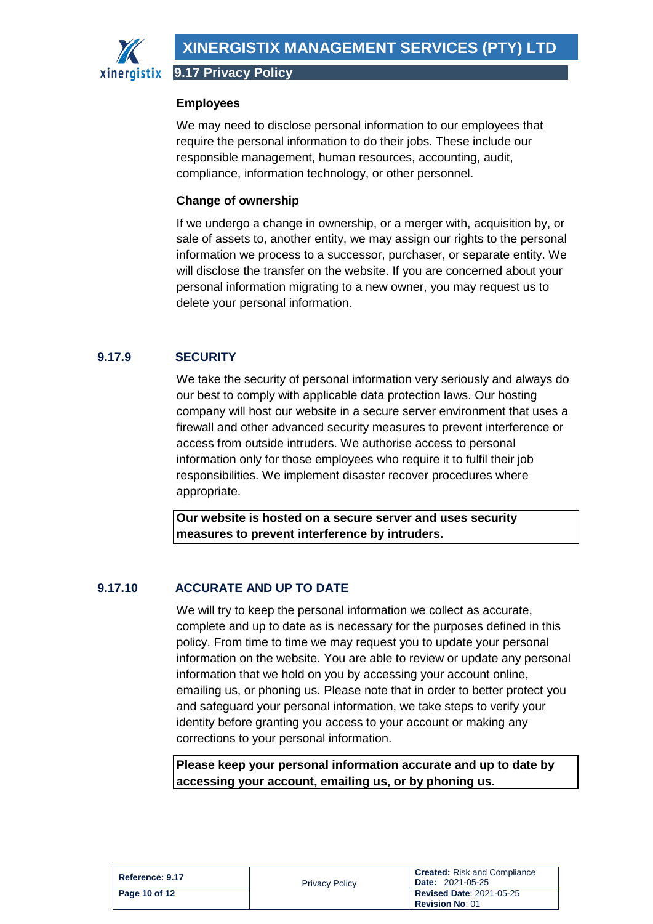

**9.17 Privacy Policy**

#### **Employees**

We may need to disclose personal information to our employees that require the personal information to do their jobs. These include our responsible management, human resources, accounting, audit, compliance, information technology, or other personnel.

#### **Change of ownership**

If we undergo a change in ownership, or a merger with, acquisition by, or sale of assets to, another entity, we may assign our rights to the personal information we process to a successor, purchaser, or separate entity. We will disclose the transfer on the website. If you are concerned about your personal information migrating to a new owner, you may request us to delete your personal information.

# <span id="page-9-0"></span>**9.17.9 SECURITY**

We take the security of personal information very seriously and always do our best to comply with applicable data protection laws. Our hosting company will host our website in a secure server environment that uses a firewall and other advanced security measures to prevent interference or access from outside intruders. We authorise access to personal information only for those employees who require it to fulfil their job responsibilities. We implement disaster recover procedures where appropriate.

**Our website is hosted on a secure server and uses security measures to prevent interference by intruders.**

## <span id="page-9-1"></span>**9.17.10 ACCURATE AND UP TO DATE**

We will try to keep the personal information we collect as accurate, complete and up to date as is necessary for the purposes defined in this policy. From time to time we may request you to update your personal information on the website. You are able to review or update any personal information that we hold on you by accessing your account online, emailing us, or phoning us. Please note that in order to better protect you and safeguard your personal information, we take steps to verify your identity before granting you access to your account or making any corrections to your personal information.

**Please keep your personal information accurate and up to date by accessing your account, emailing us, or by phoning us.**

| Reference: 9.17 | <b>Privacy Policy</b> | <b>Created: Risk and Compliance</b><br><b>Date: 2021-05-25</b> |
|-----------------|-----------------------|----------------------------------------------------------------|
| Page 10 of 12   |                       | <b>Revised Date: 2021-05-25</b><br><b>Revision No: 01</b>      |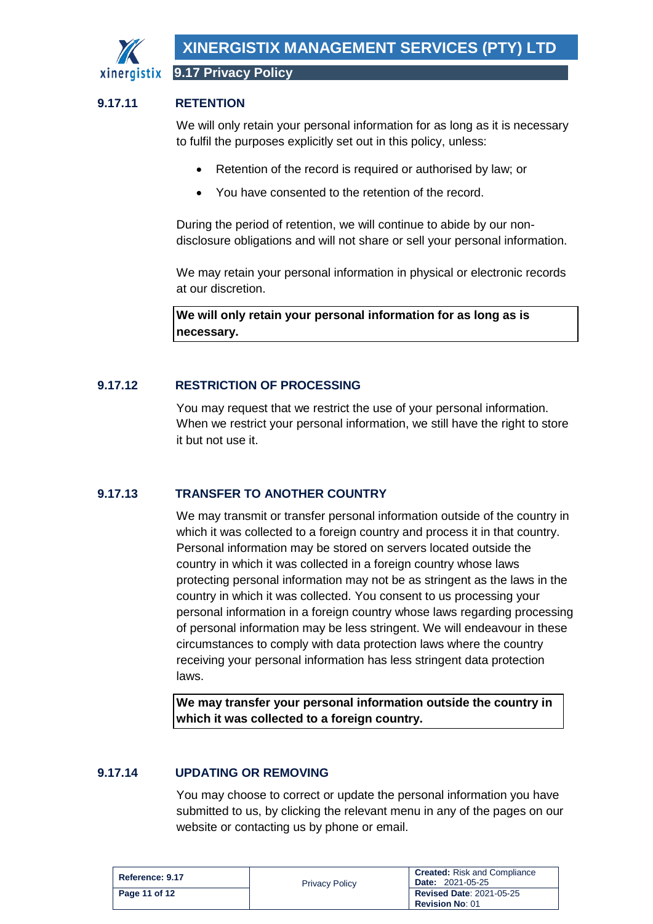

#### <span id="page-10-0"></span>**9.17.11 RETENTION**

We will only retain your personal information for as long as it is necessary to fulfil the purposes explicitly set out in this policy, unless:

- Retention of the record is required or authorised by law; or
- You have consented to the retention of the record.

During the period of retention, we will continue to abide by our nondisclosure obligations and will not share or sell your personal information.

We may retain your personal information in physical or electronic records at our discretion.

**We will only retain your personal information for as long as is necessary.**

#### <span id="page-10-1"></span>**9.17.12 RESTRICTION OF PROCESSING**

You may request that we restrict the use of your personal information. When we restrict your personal information, we still have the right to store it but not use it.

#### <span id="page-10-2"></span>**9.17.13 TRANSFER TO ANOTHER COUNTRY**

We may transmit or transfer personal information outside of the country in which it was collected to a foreign country and process it in that country. Personal information may be stored on servers located outside the country in which it was collected in a foreign country whose laws protecting personal information may not be as stringent as the laws in the country in which it was collected. You consent to us processing your personal information in a foreign country whose laws regarding processing of personal information may be less stringent. We will endeavour in these circumstances to comply with data protection laws where the country receiving your personal information has less stringent data protection laws.

**We may transfer your personal information outside the country in which it was collected to a foreign country.**

#### <span id="page-10-3"></span>**9.17.14 UPDATING OR REMOVING**

You may choose to correct or update the personal information you have submitted to us, by clicking the relevant menu in any of the pages on our website or contacting us by phone or email.

| Reference: 9.17 | <b>Privacy Policy</b> | <b>Created:</b> Risk and Compliance<br><b>Date: 2021-05-25</b> |
|-----------------|-----------------------|----------------------------------------------------------------|
| Page 11 of 12   |                       | <b>Revised Date: 2021-05-25</b><br><b>Revision No: 01</b>      |